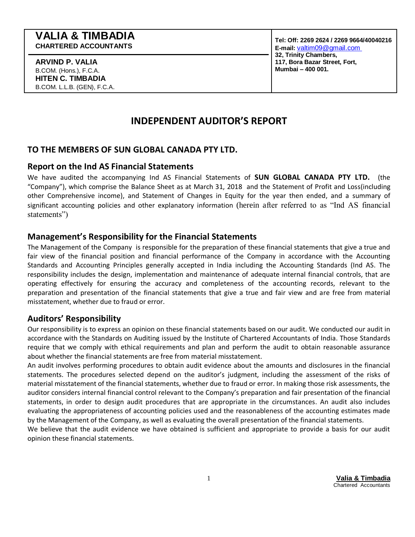## **VALIA & TIMBADIA CHARTERED ACCOUNTANTS**

**ARVIND P. VALIA** B.COM. (Hons.), F.C.A. **HITEN C. TIMBADIA** B.COM. L.L.B. (GEN), F.C.A.

# **INDEPENDENT AUDITOR'S REPORT**

# **TO THE MEMBERS OF SUN GLOBAL CANADA PTY LTD.**

## **Report on the Ind AS Financial Statements**

We have audited the accompanying Ind AS Financial Statements of **SUN GLOBAL CANADA PTY LTD.** (the "Company"), which comprise the Balance Sheet as at March 31, 2018 and the Statement of Profit and Loss(including other Comprehensive income), and Statement of Changes in Equity for the year then ended, and a summary of significant accounting policies and other explanatory information (herein after referred to as "Ind AS financial statements")

# **Management's Responsibility for the Financial Statements**

The Management of the Company is responsible for the preparation of these financial statements that give a true and fair view of the financial position and financial performance of the Company in accordance with the Accounting Standards and Accounting Principles generally accepted in India including the Accounting Standards (Ind AS. The responsibility includes the design, implementation and maintenance of adequate internal financial controls, that are operating effectively for ensuring the accuracy and completeness of the accounting records, relevant to the preparation and presentation of the financial statements that give a true and fair view and are free from material misstatement, whether due to fraud or error.

# **Auditors' Responsibility**

Our responsibility is to express an opinion on these financial statements based on our audit. We conducted our audit in accordance with the Standards on Auditing issued by the Institute of Chartered Accountants of India. Those Standards require that we comply with ethical requirements and plan and perform the audit to obtain reasonable assurance about whether the financial statements are free from material misstatement.

An audit involves performing procedures to obtain audit evidence about the amounts and disclosures in the financial statements. The procedures selected depend on the auditor's judgment, including the assessment of the risks of material misstatement of the financial statements, whether due to fraud or error. In making those risk assessments, the auditor considers internal financial control relevant to the Company's preparation and fair presentation of the financial statements, in order to design audit procedures that are appropriate in the circumstances. An audit also includes evaluating the appropriateness of accounting policies used and the reasonableness of the accounting estimates made by the Management of the Company, as well as evaluating the overall presentation of the financial statements.

We believe that the audit evidence we have obtained is sufficient and appropriate to provide a basis for our audit opinion these financial statements.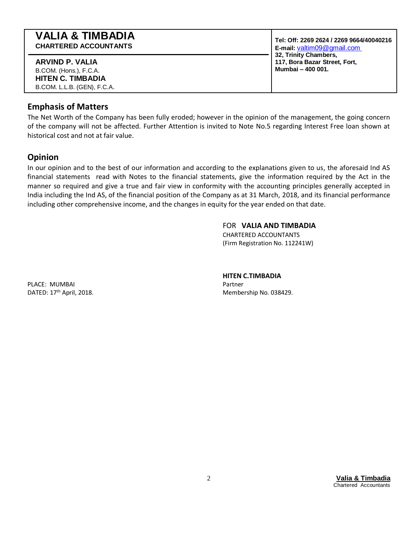| <b>VALIA &amp; TIMBADIA</b>                                                                          | Tel: Off: 2269 2624 / 2269 9664/40040216                                    |  |
|------------------------------------------------------------------------------------------------------|-----------------------------------------------------------------------------|--|
| <b>CHARTERED ACCOUNTANTS</b>                                                                         | E-mail: valtim09@gmail.com                                                  |  |
| ARVIND P. VALIA<br>B.COM. (Hons.), F.C.A.<br><b>HITEN C. TIMBADIA</b><br>B.COM. L.L.B. (GEN), F.C.A. | 32, Trinity Chambers,<br>117, Bora Bazar Street, Fort,<br>Mumbai - 400 001. |  |

## **Emphasis of Matters**

The Net Worth of the Company has been fully eroded; however in the opinion of the management, the going concern of the company will not be affected. Further Attention is invited to Note No.5 regarding Interest Free loan shown at historical cost and not at fair value.

## **Opinion**

In our opinion and to the best of our information and according to the explanations given to us, the aforesaid Ind AS financial statements read with Notes to the financial statements, give the information required by the Act in the manner so required and give a true and fair view in conformity with the accounting principles generally accepted in India including the Ind AS, of the financial position of the Company as at 31 March, 2018, and its financial performance including other comprehensive income, and the changes in equity for the year ended on that date.

## FOR **VALIA AND TIMBADIA**

CHARTERED ACCOUNTANTS (Firm Registration No. 112241W)

PLACE: MUMBAI Partner Partner Partner Partner Partner Partner Partner Partner Partner DATED: 17<sup>th</sup> April, 2018.

## **HITEN C.TIMBADIA**

Membership No. 038429.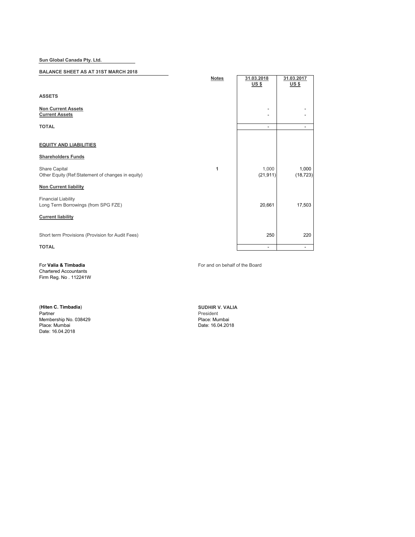**Sun Global Canada Pty. Ltd.**

### **BALANCE SHEET AS AT 31ST MARCH 2018**

|                                                                    | <b>Notes</b> | 31.03.2018<br><u>US \$</u> | 31.03.2017<br>$US$ |
|--------------------------------------------------------------------|--------------|----------------------------|--------------------|
| <b>ASSETS</b>                                                      |              |                            |                    |
| <b>Non Current Assets</b><br><b>Current Assets</b>                 |              |                            |                    |
| <b>TOTAL</b>                                                       |              | $\overline{\phantom{a}}$   |                    |
| <b>EQUITY AND LIABILITIES</b>                                      |              |                            |                    |
| <b>Shareholders Funds</b>                                          |              |                            |                    |
| Share Capital<br>Other Equity (Ref:Statement of changes in equity) | 1            | 1,000<br>(21, 911)         | 1,000<br>(18, 723) |
| <b>Non Current liability</b>                                       |              |                            |                    |
| <b>Financial Liability</b><br>Long Term Borrowings (from SPG FZE)  |              | 20,661                     | 17,503             |
| <b>Current liability</b>                                           |              |                            |                    |
| Short term Provisions (Provision for Audit Fees)                   |              | 250                        | 220                |
| <b>TOTAL</b>                                                       |              | $\overline{\phantom{a}}$   | ۰                  |

Chartered Accountants

Firm Reg. No . 112241W

(**Hiten C. Timbadia**) **SUDHIR V. VALIA** Membership No. 038429 Place: Mumbai Place: Mumbai Place: Mumbai Place: Mumbai Date: 16.04.2018 Date: 16.04.2018

For **Valia & Timbadia** For and on behalf of the Board

President<br>Place: Mumbai<br>Date: 16.04.2018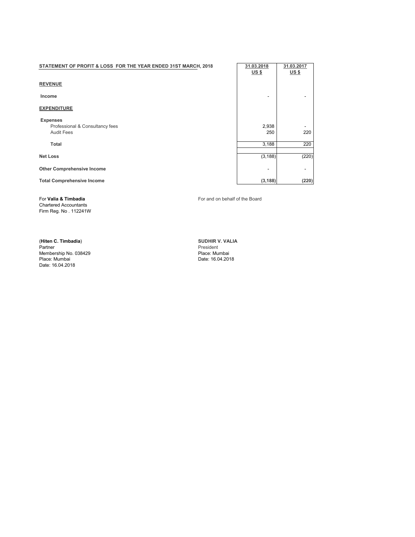# **STATEMENT OF PROFIT & LOSS FOR THE YEAR ENDED 31ST MARCH, 2018 31.03.2018 31.03.2017 31.03.2017**

#### **REVENUE**

## **EXPENDITURE**

 **Expenses**

Chartered Accountants Firm Reg. No . 112241W

Membership No. 038429 Place: Mumbai Date: 16.04.2018

**US \$ US \$ Income and the set of the set of the set of the set of the set of the set of the set of the set of the set of the set of the set of the set of the set of the set of the set of the set of the set of the set of the set of t** Professional & Consultancy fees 2,938 and 2,938 and 2,938 and 2,938 and 2,938 and 220 and 220 and 220 and 220  $\overline{2}$ Audit Fees 250 220 **Total** 3,188 220 **Net Loss** (3,188) (220) **Other Comprehensive Income** - - Total Comprehensive Income (220) (3,188) (3,188) (220)

For **Valia & Timbadia** For and on behalf of the Board

(**Hiten C. Timbadia**) **SUDHIR V. VALIA** President<br>Place: Mumbai Date: 16.04.2018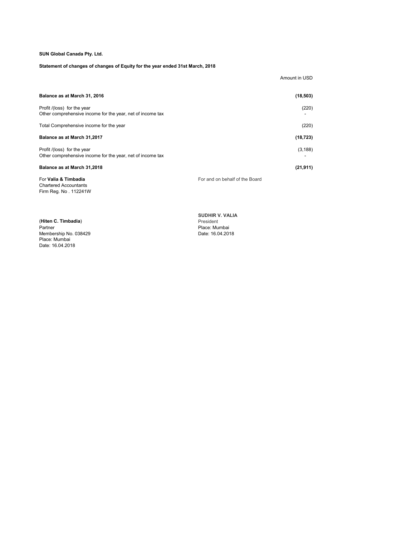### **SUN Global Canada Pty. Ltd.**

### **Statement of changes of changes of Equity for the year ended 31st March, 2018**

| Balance as at March 31, 2016                                                              | (18, 503)                      |
|-------------------------------------------------------------------------------------------|--------------------------------|
| Profit /(loss) for the year<br>Other comprehensive income for the year, net of income tax | (220)                          |
| Total Comprehensive income for the year                                                   | (220)                          |
| Balance as at March 31,2017                                                               | (18, 723)                      |
| Profit /(loss) for the year<br>Other comprehensive income for the year, net of income tax | (3, 188)                       |
| <b>Balance as at March 31,2018</b>                                                        | (21, 911)                      |
| For Valia & Timbadia                                                                      | For and on behalf of the Board |

Chartered Accountants Firm Reg. No . 112241W

Amount in USD

(**Hiten C. Timbadia**) President Membership No. 038429 Date: 16.04.2018 Place: Mumbai Date: 16.04.2018

**SUDHIR V. VALIA** Place: Mumbai<br>Date: 16.04.2018